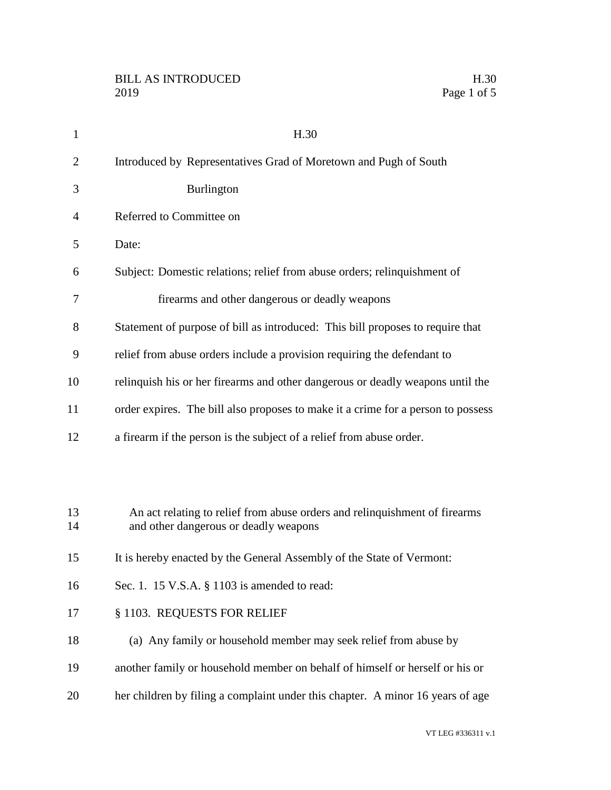| 1              | H.30                                                                                                                |
|----------------|---------------------------------------------------------------------------------------------------------------------|
| 2              | Introduced by Representatives Grad of Moretown and Pugh of South                                                    |
| 3              | <b>Burlington</b>                                                                                                   |
| $\overline{4}$ | Referred to Committee on                                                                                            |
| 5              | Date:                                                                                                               |
| 6              | Subject: Domestic relations; relief from abuse orders; relinquishment of                                            |
| 7              | firearms and other dangerous or deadly weapons                                                                      |
| 8              | Statement of purpose of bill as introduced: This bill proposes to require that                                      |
| 9              | relief from abuse orders include a provision requiring the defendant to                                             |
| 10             | relinquish his or her firearms and other dangerous or deadly weapons until the                                      |
| 11             | order expires. The bill also proposes to make it a crime for a person to possess                                    |
| 12             | a firearm if the person is the subject of a relief from abuse order.                                                |
|                |                                                                                                                     |
| 13<br>14       | An act relating to relief from abuse orders and relinquishment of firearms<br>and other dangerous or deadly weapons |
| 15             | It is hereby enacted by the General Assembly of the State of Vermont:                                               |
| 16             | Sec. 1. 15 V.S.A. § 1103 is amended to read:                                                                        |
| 17             | § 1103. REQUESTS FOR RELIEF                                                                                         |
| 18             | (a) Any family or household member may seek relief from abuse by                                                    |
| 19             | another family or household member on behalf of himself or herself or his or                                        |
| 20             | her children by filing a complaint under this chapter. A minor 16 years of age                                      |
|                |                                                                                                                     |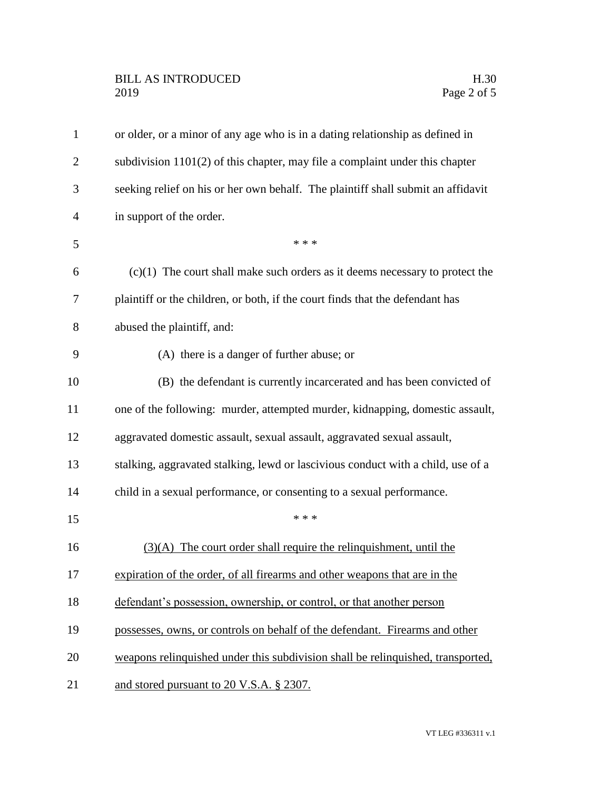| $\mathbf{1}$   | or older, or a minor of any age who is in a dating relationship as defined in    |
|----------------|----------------------------------------------------------------------------------|
| $\overline{2}$ | subdivision $1101(2)$ of this chapter, may file a complaint under this chapter   |
| 3              | seeking relief on his or her own behalf. The plaintiff shall submit an affidavit |
| $\overline{4}$ | in support of the order.                                                         |
| 5              | * * *                                                                            |
| 6              | $(c)(1)$ The court shall make such orders as it deems necessary to protect the   |
| 7              | plaintiff or the children, or both, if the court finds that the defendant has    |
| 8              | abused the plaintiff, and:                                                       |
| 9              | (A) there is a danger of further abuse; or                                       |
| 10             | (B) the defendant is currently incarcerated and has been convicted of            |
| 11             | one of the following: murder, attempted murder, kidnapping, domestic assault,    |
| 12             | aggravated domestic assault, sexual assault, aggravated sexual assault,          |
| 13             | stalking, aggravated stalking, lewd or lascivious conduct with a child, use of a |
| 14             | child in a sexual performance, or consenting to a sexual performance.            |
| 15             | * * *                                                                            |
| 16             | $(3)(A)$ The court order shall require the relinquishment, until the             |
| 17             | expiration of the order, of all firearms and other weapons that are in the       |
| 18             | defendant's possession, ownership, or control, or that another person            |
| 19             | possesses, owns, or controls on behalf of the defendant. Firearms and other      |
| 20             | weapons relinquished under this subdivision shall be relinquished, transported,  |
| 21             | and stored pursuant to 20 V.S.A. § 2307.                                         |
|                |                                                                                  |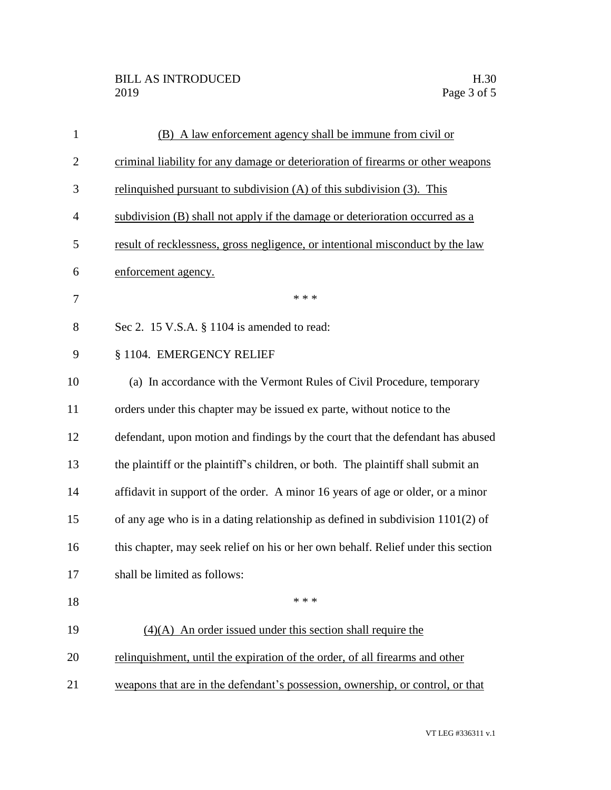| $\mathbf{1}$   | (B) A law enforcement agency shall be immune from civil or                        |
|----------------|-----------------------------------------------------------------------------------|
| $\overline{2}$ | criminal liability for any damage or deterioration of firearms or other weapons   |
| 3              | relinquished pursuant to subdivision $(A)$ of this subdivision $(3)$ . This       |
| 4              | subdivision (B) shall not apply if the damage or deterioration occurred as a      |
| 5              | result of recklessness, gross negligence, or intentional misconduct by the law    |
| 6              | enforcement agency.                                                               |
| 7              | * * *                                                                             |
| 8              | Sec 2. 15 V.S.A. § 1104 is amended to read:                                       |
| 9              | § 1104. EMERGENCY RELIEF                                                          |
| 10             | (a) In accordance with the Vermont Rules of Civil Procedure, temporary            |
| 11             | orders under this chapter may be issued ex parte, without notice to the           |
| 12             | defendant, upon motion and findings by the court that the defendant has abused    |
| 13             | the plaintiff or the plaintiff's children, or both. The plaintiff shall submit an |
| 14             | affidavit in support of the order. A minor 16 years of age or older, or a minor   |
| 15             | of any age who is in a dating relationship as defined in subdivision $1101(2)$ of |
| 16             | this chapter, may seek relief on his or her own behalf. Relief under this section |
| 17             | shall be limited as follows:                                                      |
| 18             | * * *                                                                             |
| 19             | $(4)(A)$ An order issued under this section shall require the                     |
| 20             | relinquishment, until the expiration of the order, of all firearms and other      |
| 21             | weapons that are in the defendant's possession, ownership, or control, or that    |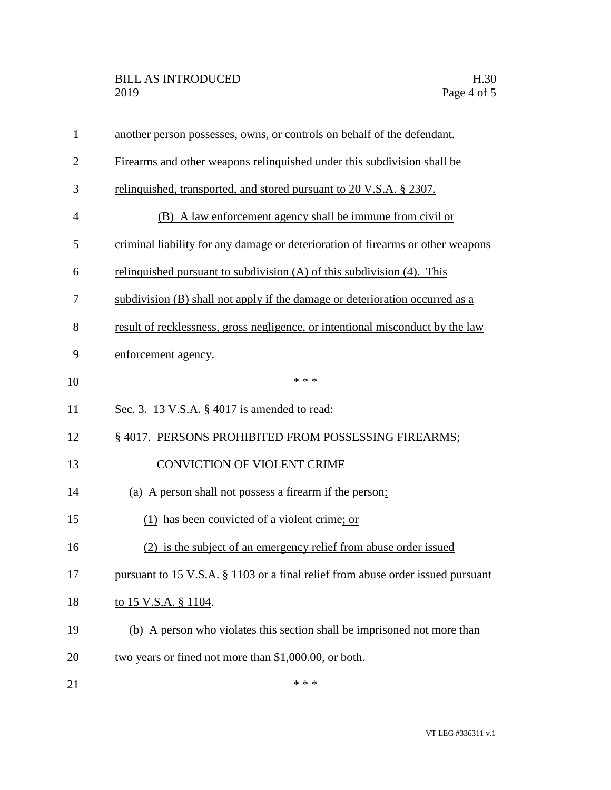| $\mathbf{1}$   | another person possesses, owns, or controls on behalf of the defendant.         |
|----------------|---------------------------------------------------------------------------------|
| $\overline{2}$ | Firearms and other weapons relinquished under this subdivision shall be         |
| 3              | relinquished, transported, and stored pursuant to 20 V.S.A. § 2307.             |
| 4              | (B) A law enforcement agency shall be immune from civil or                      |
| 5              | criminal liability for any damage or deterioration of firearms or other weapons |
| 6              | relinquished pursuant to subdivision $(A)$ of this subdivision $(4)$ . This     |
| 7              | subdivision (B) shall not apply if the damage or deterioration occurred as a    |
| 8              | result of recklessness, gross negligence, or intentional misconduct by the law  |
| 9              | enforcement agency.                                                             |
| 10             | * * *                                                                           |
| 11             | Sec. 3. 13 V.S.A. § 4017 is amended to read:                                    |
| 12             | §4017. PERSONS PROHIBITED FROM POSSESSING FIREARMS;                             |
| 13             | <b>CONVICTION OF VIOLENT CRIME</b>                                              |
| 14             | (a) A person shall not possess a firearm if the person:                         |
| 15             | $(1)$ has been convicted of a violent crime; or                                 |
| 16             | (2) is the subject of an emergency relief from abuse order issued               |
| 17             | pursuant to 15 V.S.A. § 1103 or a final relief from abuse order issued pursuant |
| 18             | to 15 V.S.A. § 1104.                                                            |
| 19             | (b) A person who violates this section shall be imprisoned not more than        |
| 20             | two years or fined not more than \$1,000.00, or both.                           |
| 21             | * * *                                                                           |